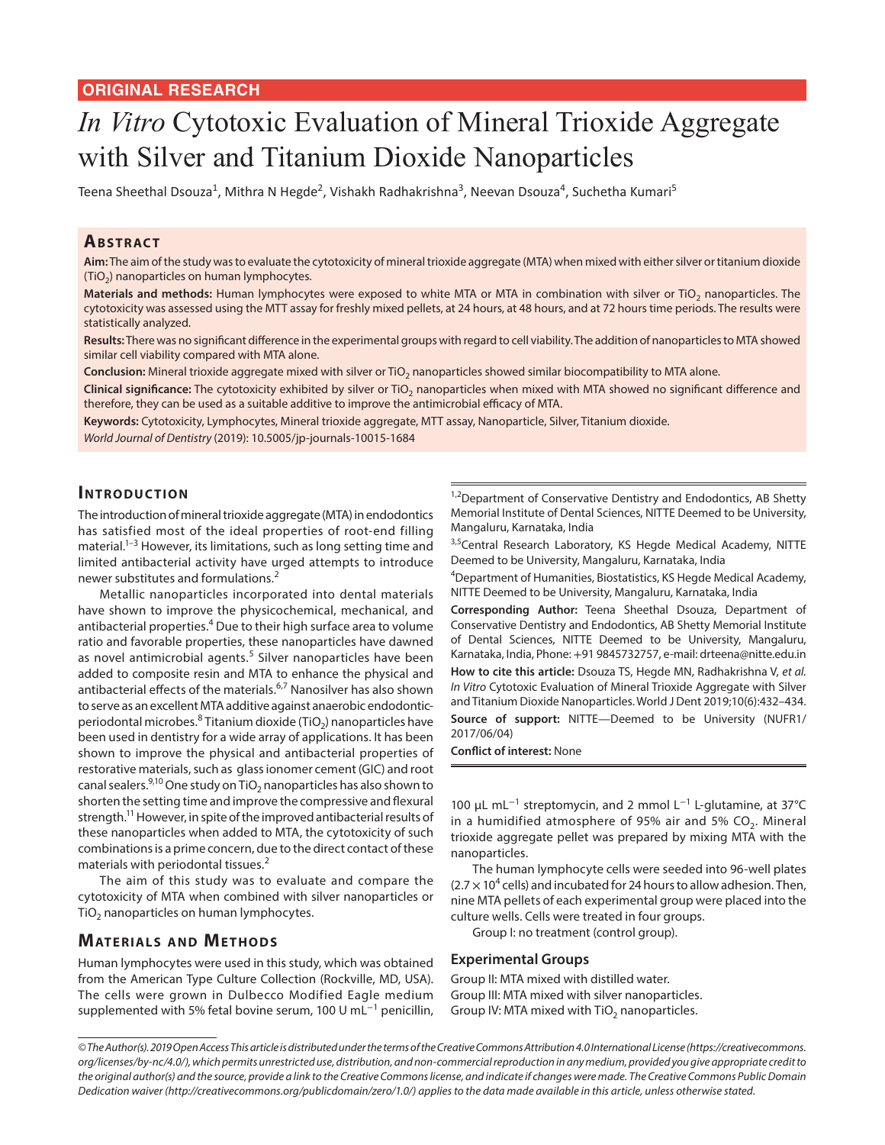# *In Vitro* Cytotoxic Evaluation of Mineral Trioxide Aggregate with Silver and Titanium Dioxide Nanoparticles

Teena Sheethal Dsouza<sup>1</sup>, Mithra N Hegde<sup>2</sup>, Vishakh Radhakrishna<sup>3</sup>, Neevan Dsouza<sup>4</sup>, Suchetha Kumari<sup>5</sup>

## **ABSTRACT**

**Aim:** The aim of the study was to evaluate the cytotoxicity of mineral trioxide aggregate (MTA) when mixed with either silver or titanium dioxide  $(TiO<sub>2</sub>)$  nanoparticles on human lymphocytes.

Materials and methods: Human lymphocytes were exposed to white MTA or MTA in combination with silver or TiO<sub>2</sub> nanoparticles. The cytotoxicity was assessed using the MTT assay for freshly mixed pellets, at 24 hours, at 48 hours, and at 72 hours time periods. The results were statistically analyzed.

**Results:** There was no significant difference in the experimental groups with regard to cell viability. The addition of nanoparticles to MTA showed similar cell viability compared with MTA alone.

Conclusion: Mineral trioxide aggregate mixed with silver or TiO<sub>2</sub> nanoparticles showed similar biocompatibility to MTA alone.

Clinical significance: The cytotoxicity exhibited by silver or TiO<sub>2</sub> nanoparticles when mixed with MTA showed no significant difference and therefore, they can be used as a suitable additive to improve the antimicrobial efficacy of MTA.

**Keywords:** Cytotoxicity, Lymphocytes, Mineral trioxide aggregate, MTT assay, Nanoparticle, Silver, Titanium dioxide. *World Journal of Dentistry* (2019): 10.5005/jp-journals-10015-1684

## **INTRODUCTION**

The introduction of mineral trioxide aggregate (MTA) in endodontics has satisfied most of the ideal properties of root-end filling material.<sup>1-3</sup> However, its limitations, such as long setting time and limited antibacterial activity have urged attempts to introduce newer substitutes and formulations.<sup>2</sup>

Metallic nanoparticles incorporated into dental materials have shown to improve the physicochemical, mechanical, and antibacterial properties.<sup>4</sup> Due to their high surface area to volume ratio and favorable properties, these nanoparticles have dawned as novel antimicrobial agents.<sup>5</sup> Silver nanoparticles have been added to composite resin and MTA to enhance the physical and antibacterial effects of the materials.6,7 Nanosilver has also shown to serve as an excellent MTA additive against anaerobic endodonticperiodontal microbes. ${}^{8}$  Titanium dioxide (TiO $_2$ ) nanoparticles have been used in dentistry for a wide array of applications. It has been shown to improve the physical and antibacterial properties of restorative materials, such as glass ionomer cement (GIC) and root canal sealers.<sup>9,10</sup> One study on TiO<sub>2</sub> nanoparticles has also shown to shorten the setting time and improve the compressive and flexural strength.11 However, in spite of the improved antibacterial results of these nanoparticles when added to MTA, the cytotoxicity of such combinations is a prime concern, due to the direct contact of these materials with periodontal tissues.<sup>2</sup>

The aim of this study was to evaluate and compare the cytotoxicity of MTA when combined with silver nanoparticles or  $TiO<sub>2</sub>$  nanoparticles on human lymphocytes.

## **MATERIALS AND METHODS**

Human lymphocytes were used in this study, which was obtained from the American Type Culture Collection (Rockville, MD, USA). The cells were grown in Dulbecco Modified Eagle medium supplemented with 5% fetal bovine serum, 100 U mL<sup>-1</sup> penicillin, <sup>1,2</sup>Department of Conservative Dentistry and Endodontics, AB Shetty Memorial Institute of Dental Sciences, NITTE Deemed to be University, Mangaluru, Karnataka, India

3,5 Central Research Laboratory, KS Hegde Medical Academy, NITTE Deemed to be University, Mangaluru, Karnataka, India

<sup>4</sup>Department of Humanities, Biostatistics, KS Hegde Medical Academy, NITTE Deemed to be University, Mangaluru, Karnataka, India

**Corresponding Author:** Teena Sheethal Dsouza, Department of Conservative Dentistry and Endodontics, AB Shetty Memorial Institute of Dental Sciences, NITTE Deemed to be University, Mangaluru, Karnataka, India, Phone: +91 9845732757, e-mail: drteena@nitte.edu.in

**How to cite this article:** Dsouza TS, Hegde MN, Radhakrishna V, *et al. In Vitro* Cytotoxic Evaluation of Mineral Trioxide Aggregate with Silver and Titanium Dioxide Nanoparticles. World J Dent 2019;10(6):432–434. **Source of support:** NITTE—Deemed to be University (NUFR1/ 2017/06/04)

**Conflict of interest:** None

100 μL mL<sup>-1</sup> streptomycin, and 2 mmol L<sup>-1</sup> L-glutamine, at 37°C in a humidified atmosphere of 95% air and 5%  $CO<sub>2</sub>$ . Mineral trioxide aggregate pellet was prepared by mixing MTA with the nanoparticles.

The human lymphocyte cells were seeded into 96-well plates  $(2.7 \times 10^4$  cells) and incubated for 24 hours to allow adhesion. Then, nine MTA pellets of each experimental group were placed into the culture wells. Cells were treated in four groups.

Group I: no treatment (control group).

#### **Experimental Groups**

Group II: MTA mixed with distilled water. Group III: MTA mixed with silver nanoparticles. Group IV: MTA mixed with  $TiO<sub>2</sub>$  nanoparticles.

*<sup>©</sup> The Author(s). 2019 Open Access This article is distributed under the terms of the Creative Commons Attribution 4.0 International License (https://creativecommons. org/licenses/by-nc/4.0/), which permits unrestricted use, distribution, and non-commercial reproduction in any medium, provided you give appropriate credit to the original author(s) and the source, provide a link to the Creative Commons license, and indicate if changes were made. The Creative Commons Public Domain Dedication waiver (http://creativecommons.org/publicdomain/zero/1.0/) applies to the data made available in this article, unless otherwise stated.*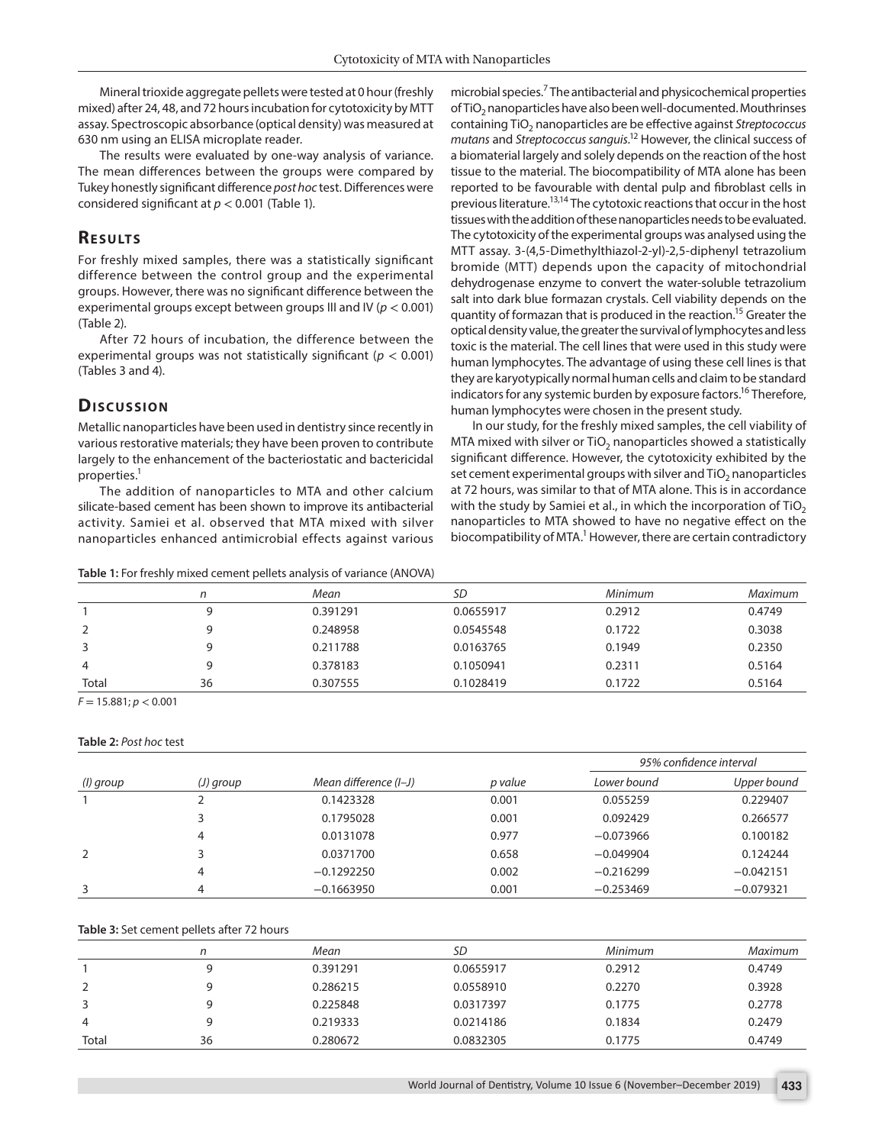Mineral trioxide aggregate pellets were tested at 0 hour (freshly mixed) after 24, 48, and 72 hours incubation for cytotoxicity by MTT assay. Spectroscopic absorbance (optical density) was measured at 630 nm using an ELISA microplate reader.

The results were evaluated by one-way analysis of variance. The mean differences between the groups were compared by Tukey honestly significant difference *post hoc* test. Differences were considered significant at *p* < 0.001 (Table 1).

# **RESULTS**

For freshly mixed samples, there was a statistically significant difference between the control group and the experimental groups. However, there was no significant difference between the experimental groups except between groups III and IV (*p* < 0.001) (Table 2).

After 72 hours of incubation, the difference between the experimental groups was not statistically significant (*p* < 0.001) (Tables 3 and 4).

## **Discussion**

Metallic nanoparticles have been used in dentistry since recently in various restorative materials; they have been proven to contribute largely to the enhancement of the bacteriostatic and bactericidal properties.<sup>1</sup>

The addition of nanoparticles to MTA and other calcium silicate-based cement has been shown to improve its antibacterial activity. Samiei et al. observed that MTA mixed with silver nanoparticles enhanced antimicrobial effects against various

#### **Table 1:** For freshly mixed cement pellets analysis of variance (ANOVA)

microbial species.<sup>7</sup> The antibacterial and physicochemical properties of TiO<sub>2</sub> nanoparticles have also been well-documented. Mouthrinses containing TiO<sub>2</sub> nanoparticles are be effective against *Streptococcus mutans* and *Streptococcus sanguis*. 12 However, the clinical success of a biomaterial largely and solely depends on the reaction of the host tissue to the material. The biocompatibility of MTA alone has been reported to be favourable with dental pulp and fibroblast cells in previous literature.<sup>13,14</sup> The cytotoxic reactions that occur in the host tissues with the addition of these nanoparticles needs to be evaluated. The cytotoxicity of the experimental groups was analysed using the MTT assay. 3-(4,5-Dimethylthiazol-2-yl)-2,5-diphenyl tetrazolium bromide (MTT) depends upon the capacity of mitochondrial dehydrogenase enzyme to convert the water-soluble tetrazolium salt into dark blue formazan crystals. Cell viability depends on the quantity of formazan that is produced in the reaction.<sup>15</sup> Greater the optical density value, the greater the survival of lymphocytes and less toxic is the material. The cell lines that were used in this study were human lymphocytes. The advantage of using these cell lines is that they are karyotypically normal human cells and claim to be standard indicators for any systemic burden by exposure factors.<sup>16</sup> Therefore, human lymphocytes were chosen in the present study.

In our study, for the freshly mixed samples, the cell viability of MTA mixed with silver or  $TiO<sub>2</sub>$  nanoparticles showed a statistically significant difference. However, the cytotoxicity exhibited by the set cement experimental groups with silver and  $TiO<sub>2</sub>$  nanoparticles at 72 hours, was similar to that of MTA alone. This is in accordance with the study by Samiei et al., in which the incorporation of TiO<sub>2</sub> nanoparticles to MTA showed to have no negative effect on the biocompatibility of MTA.<sup>1</sup> However, there are certain contradictory

|       |    | Mean     | SD        | Minimum | Maximum |
|-------|----|----------|-----------|---------|---------|
|       |    | 0.391291 | 0.0655917 | 0.2912  | 0.4749  |
|       |    | 0.248958 | 0.0545548 | 0.1722  | 0.3038  |
| 3     |    | 0.211788 | 0.0163765 | 0.1949  | 0.2350  |
| 4     |    | 0.378183 | 0.1050941 | 0.2311  | 0.5164  |
| Total | 36 | 0.307555 | 0.1028419 | 0.1722  | 0.5164  |

*F* = 15.881; *p* < 0.001

#### **Table 2:** *Post hoc* test

| (I) group | $(J)$ group | Mean difference (I-J) | p value | 95% confidence interval |             |
|-----------|-------------|-----------------------|---------|-------------------------|-------------|
|           |             |                       |         | Lower bound             | Upper bound |
|           |             | 0.1423328             | 0.001   | 0.055259                | 0.229407    |
|           |             | 0.1795028             | 0.001   | 0.092429                | 0.266577    |
|           | 4           | 0.0131078             | 0.977   | $-0.073966$             | 0.100182    |
| 2         |             | 0.0371700             | 0.658   | $-0.049904$             | 0.124244    |
|           | 4           | $-0.1292250$          | 0.002   | $-0.216299$             | $-0.042151$ |
| 3         | 4           | $-0.1663950$          | 0.001   | $-0.253469$             | $-0.079321$ |

#### **Table 3:** Set cement pellets after 72 hours

|       |    | Mean     | SD        | Minimum | Maximum |
|-------|----|----------|-----------|---------|---------|
|       |    | 0.391291 | 0.0655917 | 0.2912  | 0.4749  |
|       |    | 0.286215 | 0.0558910 | 0.2270  | 0.3928  |
| 3     |    | 0.225848 | 0.0317397 | 0.1775  | 0.2778  |
| 4     |    | 0.219333 | 0.0214186 | 0.1834  | 0.2479  |
| Total | 36 | 0.280672 | 0.0832305 | 0.1775  | 0.4749  |